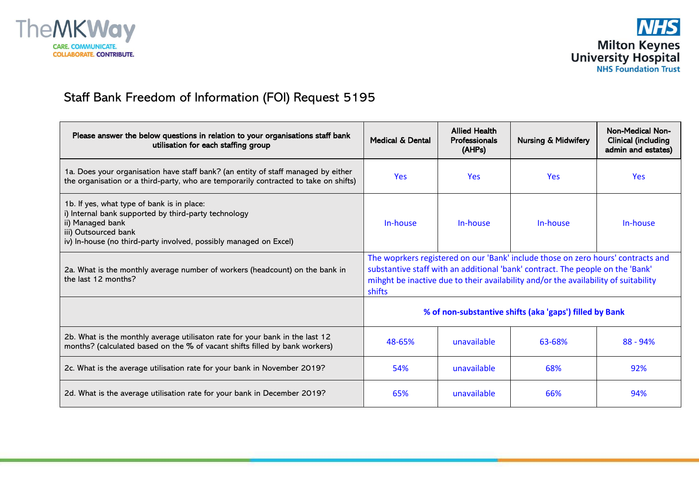



## Staff Bank Freedom of Information (FOI) Request 5195

| Please answer the below questions in relation to your organisations staff bank<br>utilisation for each staffing group                                                                                               | Medical & Dental                                                                                                                                                                                                                                                    | <b>Allied Health</b><br><b>Professionals</b><br>(AHPs) | <b>Nursing &amp; Midwifery</b> | <b>Non-Medical Non-</b><br><b>Clinical (including</b><br>admin and estates) |
|---------------------------------------------------------------------------------------------------------------------------------------------------------------------------------------------------------------------|---------------------------------------------------------------------------------------------------------------------------------------------------------------------------------------------------------------------------------------------------------------------|--------------------------------------------------------|--------------------------------|-----------------------------------------------------------------------------|
| 1a. Does your organisation have staff bank? (an entity of staff managed by either<br>the organisation or a third-party, who are temporarily contracted to take on shifts)                                           | <b>Yes</b>                                                                                                                                                                                                                                                          | <b>Yes</b>                                             | <b>Yes</b>                     | <b>Yes</b>                                                                  |
| 1b. If yes, what type of bank is in place:<br>i) Internal bank supported by third-party technology<br>ii) Managed bank<br>iii) Outsourced bank<br>iv) In-house (no third-party involved, possibly managed on Excel) | In-house                                                                                                                                                                                                                                                            | In-house                                               | In-house                       | In-house                                                                    |
| 2a. What is the monthly average number of workers (headcount) on the bank in<br>the last 12 months?                                                                                                                 | The woprkers registered on our 'Bank' include those on zero hours' contracts and<br>substantive staff with an additional 'bank' contract. The people on the 'Bank'<br>mihght be inactive due to their availability and/or the availability of suitability<br>shifts |                                                        |                                |                                                                             |
|                                                                                                                                                                                                                     | % of non-substantive shifts (aka 'gaps') filled by Bank                                                                                                                                                                                                             |                                                        |                                |                                                                             |
| 2b. What is the monthly average utilisaton rate for your bank in the last 12<br>months? (calculated based on the % of vacant shifts filled by bank workers)                                                         | 48-65%                                                                                                                                                                                                                                                              | unavailable                                            | 63-68%                         | $88 - 94%$                                                                  |
| 2c. What is the average utilisation rate for your bank in November 2019?                                                                                                                                            | 54%                                                                                                                                                                                                                                                                 | unavailable                                            | 68%                            | 92%                                                                         |
| 2d. What is the average utilisation rate for your bank in December 2019?                                                                                                                                            | 65%                                                                                                                                                                                                                                                                 | unavailable                                            | 66%                            | 94%                                                                         |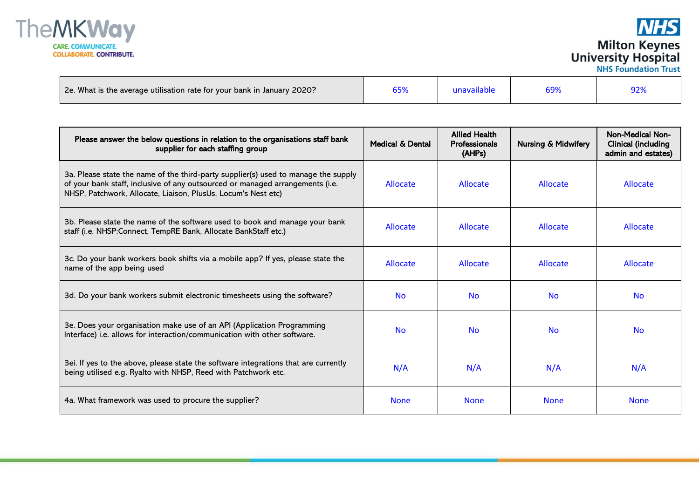

**NHS Milton Keynes**<br>University Hospital<br>NHS Foundation Trust

| 2e. What is the average utilisation rate for your bank in January 2020? |  | unavailable |  |  |
|-------------------------------------------------------------------------|--|-------------|--|--|
|-------------------------------------------------------------------------|--|-------------|--|--|

| Please answer the below questions in relation to the organisations staff bank<br>supplier for each staffing group                                                                                                                    | Medical & Dental | <b>Allied Health</b><br><b>Professionals</b><br>(AHPs) | <b>Nursing &amp; Midwifery</b> | <b>Non-Medical Non-</b><br><b>Clinical (including</b><br>admin and estates) |
|--------------------------------------------------------------------------------------------------------------------------------------------------------------------------------------------------------------------------------------|------------------|--------------------------------------------------------|--------------------------------|-----------------------------------------------------------------------------|
| 3a. Please state the name of the third-party supplier(s) used to manage the supply<br>of your bank staff, inclusive of any outsourced or managed arrangements (i.e.<br>NHSP, Patchwork, Allocate, Liaison, PlusUs, Locum's Nest etc) | Allocate         | Allocate                                               | Allocate                       | Allocate                                                                    |
| 3b. Please state the name of the software used to book and manage your bank<br>staff (i.e. NHSP:Connect, TempRE Bank, Allocate BankStaff etc.)                                                                                       | Allocate         | <b>Allocate</b>                                        | Allocate                       | Allocate                                                                    |
| 3c. Do your bank workers book shifts via a mobile app? If yes, please state the<br>name of the app being used                                                                                                                        | Allocate         | Allocate                                               | <b>Allocate</b>                | Allocate                                                                    |
| 3d. Do your bank workers submit electronic timesheets using the software?                                                                                                                                                            | <b>No</b>        | <b>No</b>                                              | <b>No</b>                      | <b>No</b>                                                                   |
| 3e. Does your organisation make use of an API (Application Programming<br>Interface) i.e. allows for interaction/communication with other software.                                                                                  | <b>No</b>        | <b>No</b>                                              | <b>No</b>                      | <b>No</b>                                                                   |
| 3ei. If yes to the above, please state the software integrations that are currently<br>being utilised e.g. Ryalto with NHSP, Reed with Patchwork etc.                                                                                | N/A              | N/A                                                    | N/A                            | N/A                                                                         |
| 4a. What framework was used to procure the supplier?                                                                                                                                                                                 | <b>None</b>      | <b>None</b>                                            | <b>None</b>                    | <b>None</b>                                                                 |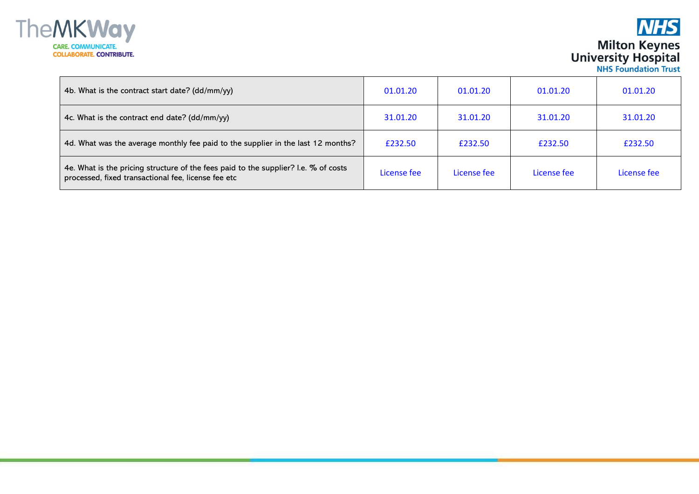

## **NHS Milton Keynes**<br>University Hospital<br>NHS Foundation Trust

| 4b. What is the contract start date? (dd/mm/yy)                                                                                            | 01.01.20    | 01.01.20    | 01.01.20    | 01.01.20    |
|--------------------------------------------------------------------------------------------------------------------------------------------|-------------|-------------|-------------|-------------|
| 4c. What is the contract end date? (dd/mm/yy)                                                                                              | 31.01.20    | 31.01.20    | 31.01.20    | 31.01.20    |
| 4d. What was the average monthly fee paid to the supplier in the last 12 months?                                                           | £232.50     | £232.50     | £232.50     | £232.50     |
| 4e. What is the pricing structure of the fees paid to the supplier? I.e. % of costs<br>processed, fixed transactional fee, license fee etc | License fee | License fee | License fee | License fee |